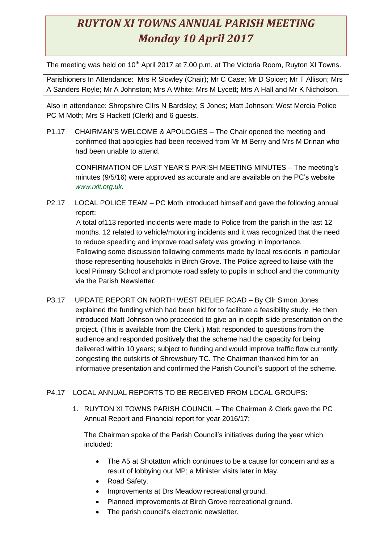## *RUYTON XI TOWNS ANNUAL PARISH MEETING Monday 10 April 2017*

The meeting was held on 10<sup>th</sup> April 2017 at 7.00 p.m. at The Victoria Room, Ruyton XI Towns.

Parishioners In Attendance: Mrs R Slowley (Chair); Mr C Case; Mr D Spicer; Mr T Allison; Mrs A Sanders Royle; Mr A Johnston; Mrs A White; Mrs M Lycett; Mrs A Hall and Mr K Nicholson.

Also in attendance: Shropshire Cllrs N Bardsley; S Jones; Matt Johnson; West Mercia Police PC M Moth; Mrs S Hackett (Clerk) and 6 guests.

P1.17 CHAIRMAN'S WELCOME & APOLOGIES – The Chair opened the meeting and confirmed that apologies had been received from Mr M Berry and Mrs M Drinan who had been unable to attend.

 CONFIRMATION OF LAST YEAR'S PARISH MEETING MINUTES – The meeting's minutes (9/5/16) were approved as accurate and are available on the PC's website *www.rxit.org.uk.*

P2.17 LOCAL POLICE TEAM – PC Moth introduced himself and gave the following annual report:

A total of113 reported incidents were made to Police from the parish in the last 12 months. 12 related to vehicle/motoring incidents and it was recognized that the need to reduce speeding and improve road safety was growing in importance. Following some discussion following comments made by local residents in particular those representing households in Birch Grove. The Police agreed to liaise with the local Primary School and promote road safety to pupils in school and the community via the Parish Newsletter.

P3.17 UPDATE REPORT ON NORTH WEST RELIEF ROAD – By Cllr Simon Jones explained the funding which had been bid for to facilitate a feasibility study. He then introduced Matt Johnson who proceeded to give an in depth slide presentation on the project. (This is available from the Clerk.) Matt responded to questions from the audience and responded positively that the scheme had the capacity for being delivered within 10 years; subject to funding and would improve traffic flow currently congesting the outskirts of Shrewsbury TC. The Chairman thanked him for an informative presentation and confirmed the Parish Council's support of the scheme.

## P4.17 LOCAL ANNUAL REPORTS TO BE RECEIVED FROM LOCAL GROUPS:

1. RUYTON XI TOWNS PARISH COUNCIL – The Chairman & Clerk gave the PC Annual Report and Financial report for year 2016/17:

The Chairman spoke of the Parish Council's initiatives during the year which included:

- The A5 at Shotatton which continues to be a cause for concern and as a result of lobbying our MP; a Minister visits later in May.
- Road Safety.
- Improvements at Drs Meadow recreational ground.
- Planned improvements at Birch Grove recreational ground.
- The parish council's electronic newsletter.